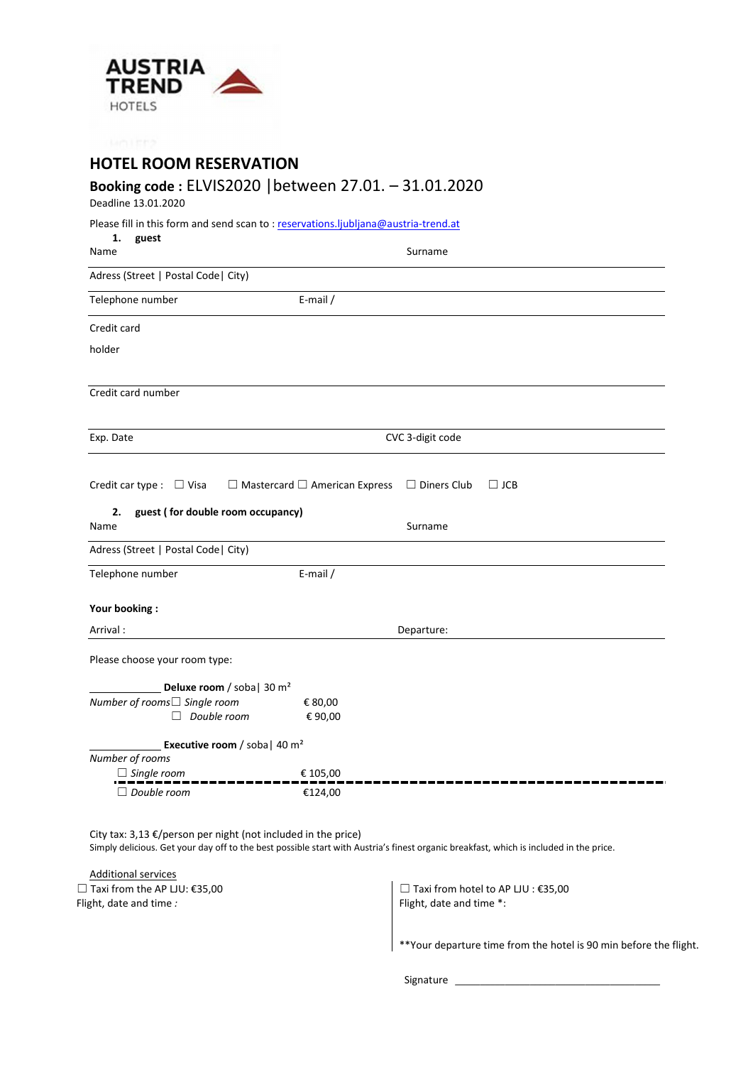

**HOTEL ROOM RESERVATION**

# **Booking code :** ELVIS2020 |between 27.01. – 31.01.2020

Deadline 13.01.2020

| Please fill in this form and send scan to: reservations.ljubljana@austria-trend.at |  |
|------------------------------------------------------------------------------------|--|
|------------------------------------------------------------------------------------|--|

| 1.<br>guest<br>Name                                                      | Surname                                                                       |
|--------------------------------------------------------------------------|-------------------------------------------------------------------------------|
| Adress (Street   Postal Code   City)                                     |                                                                               |
| Telephone number                                                         | E-mail /                                                                      |
| Credit card                                                              |                                                                               |
| holder                                                                   |                                                                               |
| Credit card number                                                       |                                                                               |
| Exp. Date                                                                | CVC 3-digit code                                                              |
| Credit car type : $\Box$ Visa<br>guest (for double room occupancy)<br>2. | $\Box$ Mastercard $\Box$ American Express<br>$\Box$ Diners Club<br>$\Box$ JCB |
| Name                                                                     | Surname                                                                       |
| Adress (Street   Postal Code   City)                                     |                                                                               |
| Telephone number                                                         | E-mail /                                                                      |
| Your booking:                                                            |                                                                               |
| Arrival:                                                                 | Departure:                                                                    |
| Please choose your room type:                                            |                                                                               |
| Deluxe room / soba   30 $m2$                                             |                                                                               |
| Number of rooms□ Single room                                             | € 80,00                                                                       |
| $\Box$ Double room                                                       | €90,00                                                                        |
| <b>Executive room</b> / soba   40 $m^2$<br>Number of rooms               |                                                                               |
| $\Box$ Single room                                                       | € 105,00                                                                      |
| $\Box$ Double room                                                       | €124,00                                                                       |

City tax:  $3,13 \text{ E/person per night}$  (not included in the price) Simply delicious. Get your day off to the best possible start with Austria's finest organic breakfast, which is included in the price.

Additional services ☐ Taxi from the AP LJU: €35,00 Flight, date and time *:* 

☐ Taxi from hotel to AP LJU : €35,00 Flight, date and time \*:

\*\*Your departure time from the hotel is 90 min before the flight.

Signature *\_\_\_\_\_\_\_\_\_\_\_\_\_\_\_\_\_\_\_\_\_\_\_\_\_\_\_\_\_\_\_\_\_\_\_\_\_\_\_\_\_*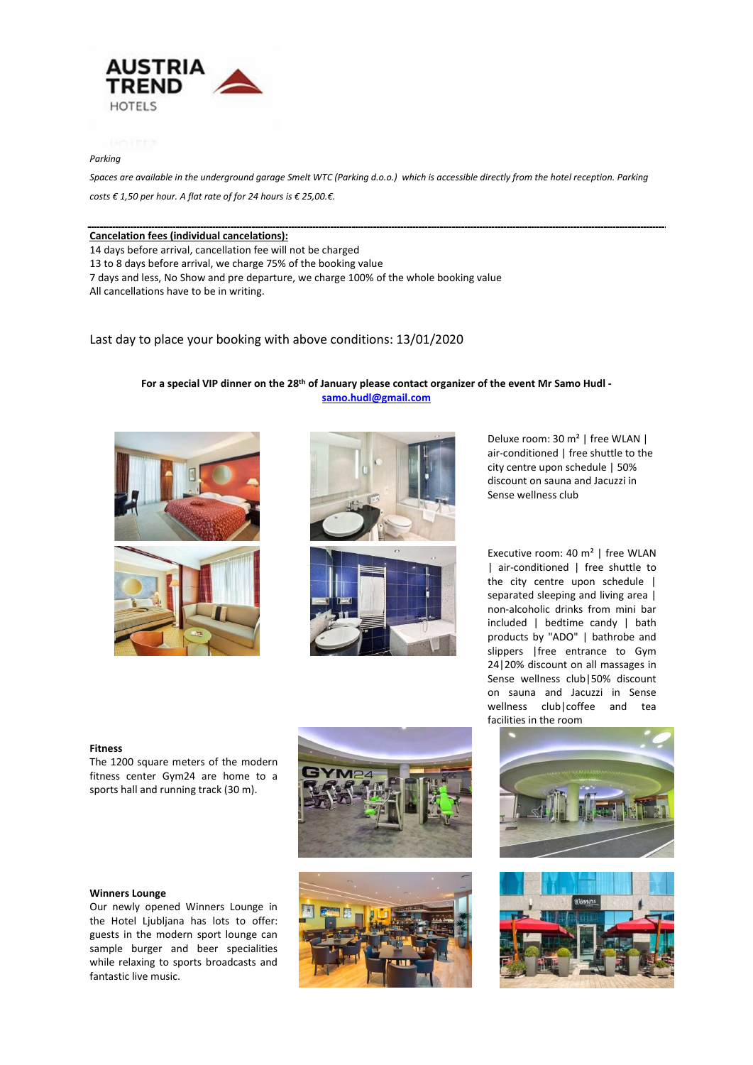

# *Parking*

Spaces are available in the underground garage Smelt WTC (Parking d.o.o.) which is accessible directly from the hotel reception. Parking *costs € 1,50 per hour. A flat rate of for 24 hours is € 25,00.€.* 

### **Cancelation fees (individual cancelations):**

14 days before arrival, cancellation fee will not be charged

13 to 8 days before arrival, we charge 75% of the booking value

7 days and less, No Show and pre departure, we charge 100% of the whole booking value

All cancellations have to be in writing.

Last day to place your booking with above conditions: 13/01/2020

# For a special VIP dinner on the 28<sup>th</sup> of January please contact organizer of the event Mr Samo Hudl **samo.hudl@gmail.com**







Deluxe room: 30 m² | free WLAN | air-conditioned | free shuttle to the city centre upon schedule | 50% discount on sauna and Jacuzzi in Sense wellness club

Executive room: 40 m² | free WLAN | air-conditioned | free shuttle to the city centre upon schedule | separated sleeping and living area | non-alcoholic drinks from mini bar included | bedtime candy | bath products by "ADO" | bathrobe and slippers |free entrance to Gym 24|20% discount on all massages in Sense wellness club|50% discount on sauna and Jacuzzi in Sense wellness club|coffee and tea facilities in the room

#### **Fitness**

The 1200 square meters of the modern fitness center Gym24 are home to a sports hall and running track (30 m).





Our newly opened Winners Lounge in the Hotel Ljubljana has lots to offer: guests in the modern sport lounge can sample burger and beer specialities while relaxing to sports broadcasts and fantastic live music.